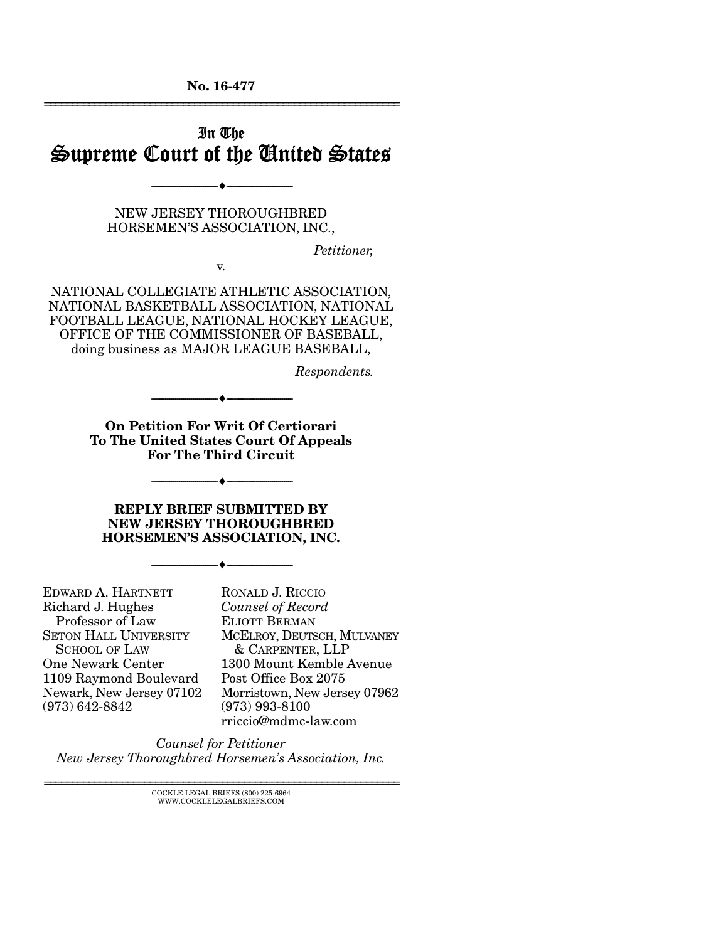No. 16-477 ================================================================

## In The Supreme Court of the United States

NEW JERSEY THOROUGHBRED HORSEMEN'S ASSOCIATION, INC.,

v.

--------------------------------- ---------------------------------

*Petitioner,* 

NATIONAL COLLEGIATE ATHLETIC ASSOCIATION, NATIONAL BASKETBALL ASSOCIATION, NATIONAL FOOTBALL LEAGUE, NATIONAL HOCKEY LEAGUE, OFFICE OF THE COMMISSIONER OF BASEBALL, doing business as MAJOR LEAGUE BASEBALL,

*Respondents.* 

On Petition For Writ Of Certiorari To The United States Court Of Appeals For The Third Circuit

--------------------------------- ---------------------------------

--------------------------------- ---------------------------------

REPLY BRIEF SUBMITTED BY NEW JERSEY THOROUGHBRED HORSEMEN'S ASSOCIATION, INC.

--------------------------------- ---------------------------------

EDWARD A. HARTNETT Richard J. Hughes Professor of Law SETON HALL UNIVERSITY SCHOOL OF LAW One Newark Center 1109 Raymond Boulevard Newark, New Jersey 07102 (973) 642-8842

RONALD J. RICCIO *Counsel of Record* ELIOTT BERMAN MCELROY, DEUTSCH, MULVANEY & CARPENTER, LLP 1300 Mount Kemble Avenue Post Office Box 2075 Morristown, New Jersey 07962 (973) 993-8100 rriccio@mdmc-law.com

*Counsel for Petitioner New Jersey Thoroughbred Horsemen's Association, Inc.* 

================================================================ COCKLE LEGAL BRIEFS (800) 225-6964 WWW.COCKLELEGALBRIEFS.COM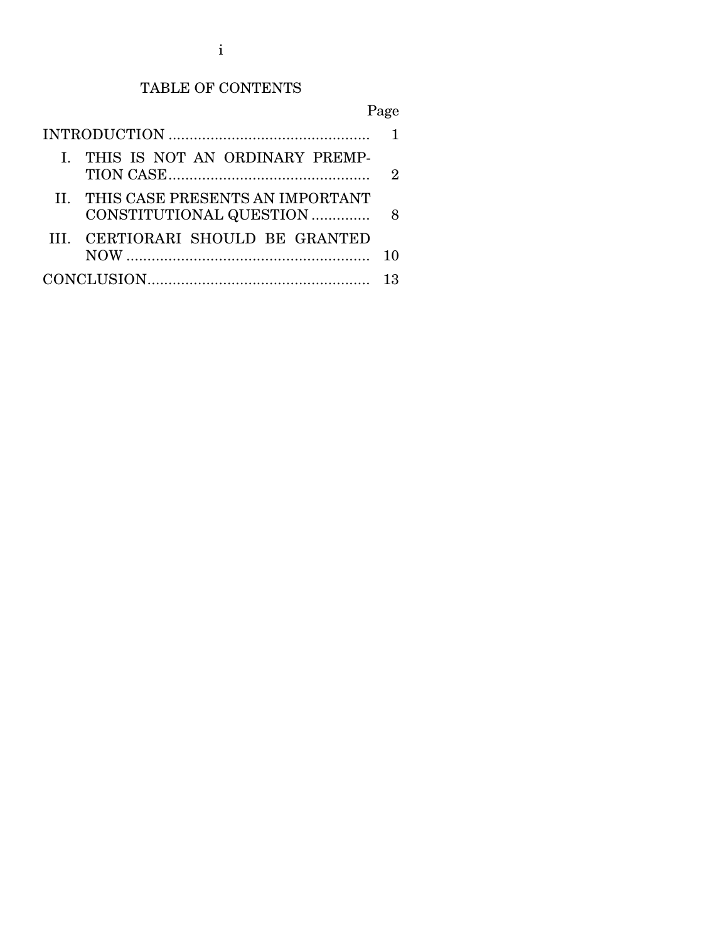# TABLE OF CONTENTS

Page

| I. THIS IS NOT AN ORDINARY PREMP-   | 9. |
|-------------------------------------|----|
| II. THIS CASE PRESENTS AN IMPORTANT |    |
| III. CERTIORARI SHOULD BE GRANTED   |    |
|                                     |    |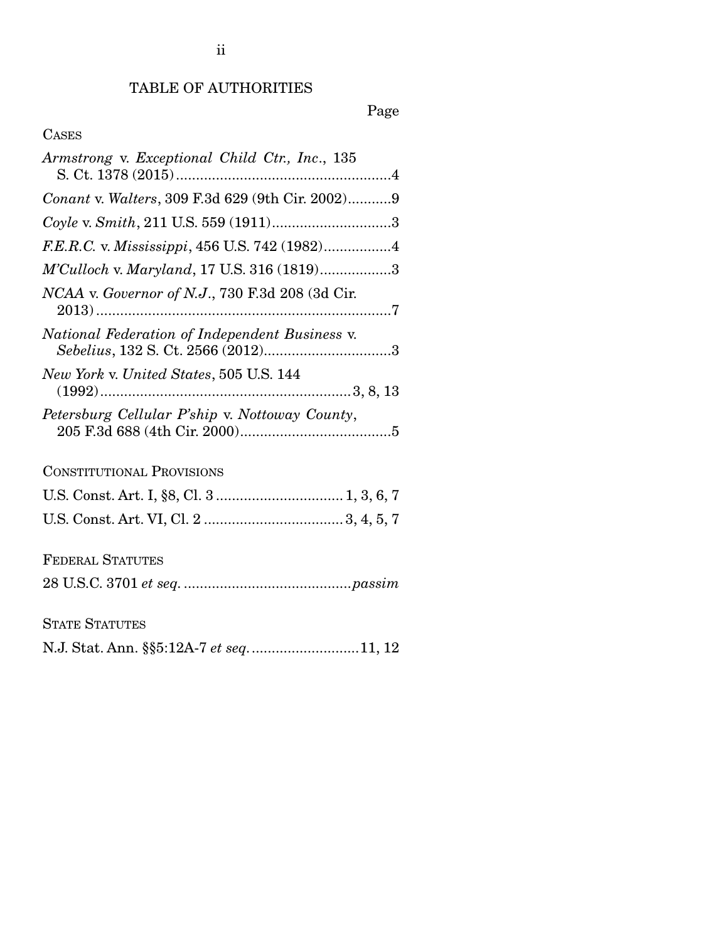## TABLE OF AUTHORITIES

## Page

### CASES

| Armstrong v. Exceptional Child Ctr., Inc., 135   |
|--------------------------------------------------|
| Conant v. Walters, 309 F.3d 629 (9th Cir. 2002)9 |
|                                                  |
|                                                  |
| M'Culloch v. Maryland, 17 U.S. 316 (1819)3       |
| NCAA v. Governor of N.J., 730 F.3d 208 (3d Cir.  |
| National Federation of Independent Business v.   |
| New York v. United States, 505 U.S. 144          |
| Petersburg Cellular P'ship v. Nottoway County,   |
| <b>CONSTITUTIONAL PROVISIONS</b>                 |
|                                                  |
|                                                  |
|                                                  |

FEDERAL STATUTES

STATE STATUTES

|  |  | N.J. Stat. Ann. §§5:12A-7 et seq. 11, 12 |  |  |
|--|--|------------------------------------------|--|--|
|--|--|------------------------------------------|--|--|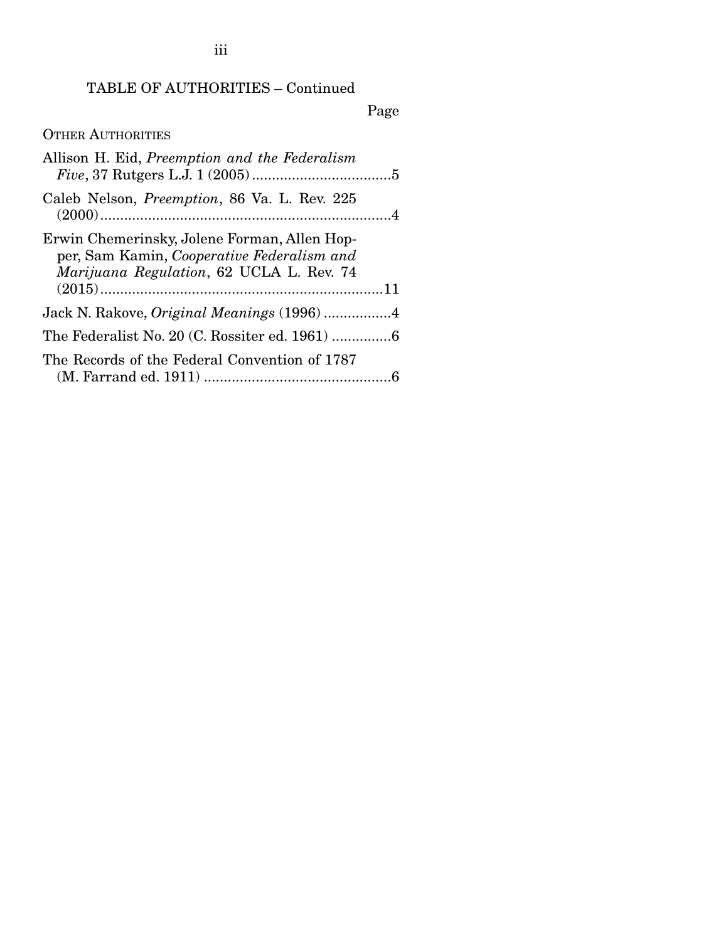## TABLE OF AUTHORITIES – Continued

Page

OTHER AUTHORITIES

| Allison H. Eid, Preemption and the Federalism<br>$Five, 37 Rutgers L.J. 1 (2005) … … … … … … … … 5$                                    |  |
|----------------------------------------------------------------------------------------------------------------------------------------|--|
| Caleb Nelson, <i>Preemption</i> , 86 Va. L. Rev. 225                                                                                   |  |
| Erwin Chemerinsky, Jolene Forman, Allen Hop-<br>per, Sam Kamin, Cooperative Federalism and<br>Marijuana Regulation, 62 UCLA L. Rev. 74 |  |
|                                                                                                                                        |  |
| Jack N. Rakove, <i>Original Meanings</i> (1996) 4                                                                                      |  |
|                                                                                                                                        |  |
| The Records of the Federal Convention of 1787                                                                                          |  |

iii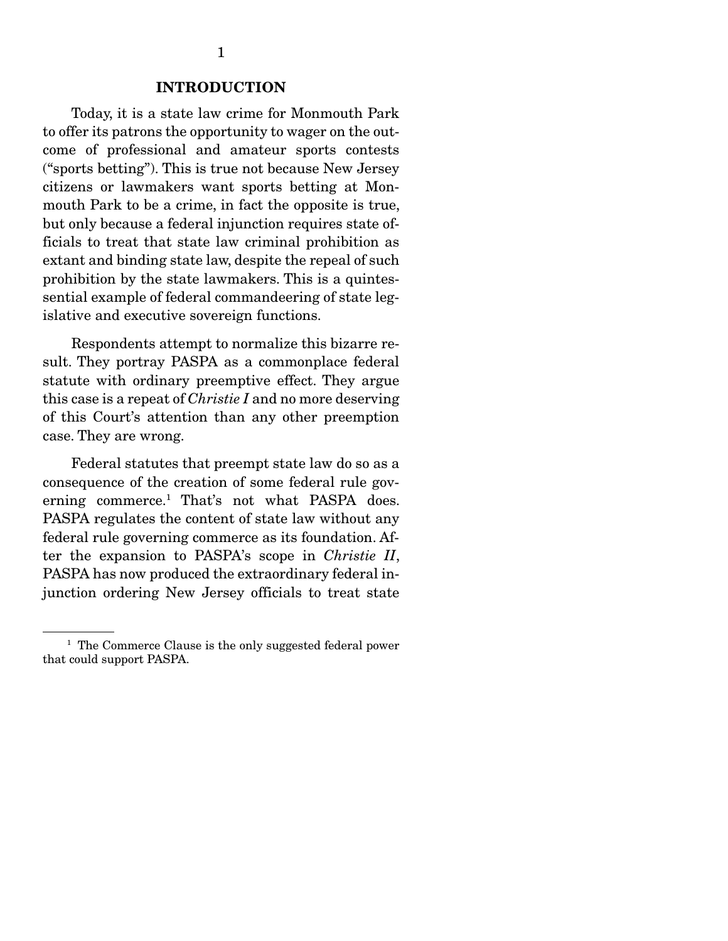#### INTRODUCTION

 Today, it is a state law crime for Monmouth Park to offer its patrons the opportunity to wager on the outcome of professional and amateur sports contests ("sports betting"). This is true not because New Jersey citizens or lawmakers want sports betting at Monmouth Park to be a crime, in fact the opposite is true, but only because a federal injunction requires state officials to treat that state law criminal prohibition as extant and binding state law, despite the repeal of such prohibition by the state lawmakers. This is a quintessential example of federal commandeering of state legislative and executive sovereign functions.

 Respondents attempt to normalize this bizarre result. They portray PASPA as a commonplace federal statute with ordinary preemptive effect. They argue this case is a repeat of *Christie I* and no more deserving of this Court's attention than any other preemption case. They are wrong.

 Federal statutes that preempt state law do so as a consequence of the creation of some federal rule governing commerce.<sup>1</sup> That's not what PASPA does. PASPA regulates the content of state law without any federal rule governing commerce as its foundation. After the expansion to PASPA's scope in *Christie II*, PASPA has now produced the extraordinary federal injunction ordering New Jersey officials to treat state

<sup>&</sup>lt;sup>1</sup> The Commerce Clause is the only suggested federal power that could support PASPA.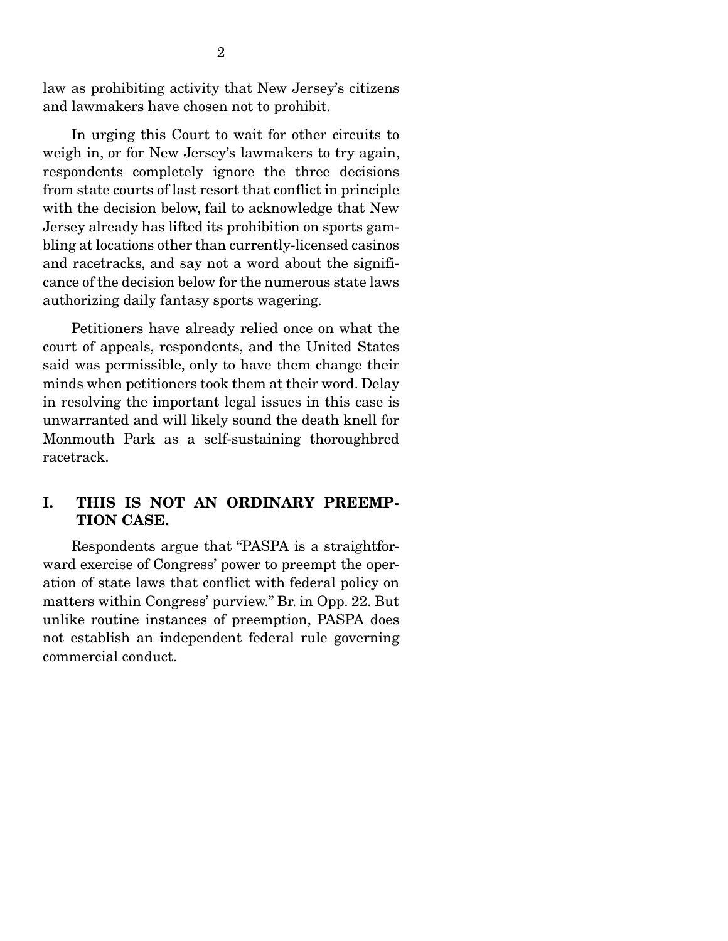law as prohibiting activity that New Jersey's citizens and lawmakers have chosen not to prohibit.

 In urging this Court to wait for other circuits to weigh in, or for New Jersey's lawmakers to try again, respondents completely ignore the three decisions from state courts of last resort that conflict in principle with the decision below, fail to acknowledge that New Jersey already has lifted its prohibition on sports gambling at locations other than currently-licensed casinos and racetracks, and say not a word about the significance of the decision below for the numerous state laws authorizing daily fantasy sports wagering.

 Petitioners have already relied once on what the court of appeals, respondents, and the United States said was permissible, only to have them change their minds when petitioners took them at their word. Delay in resolving the important legal issues in this case is unwarranted and will likely sound the death knell for Monmouth Park as a self-sustaining thoroughbred racetrack.

### I. THIS IS NOT AN ORDINARY PREEMP-TION CASE.

 Respondents argue that "PASPA is a straightforward exercise of Congress' power to preempt the operation of state laws that conflict with federal policy on matters within Congress' purview." Br. in Opp. 22. But unlike routine instances of preemption, PASPA does not establish an independent federal rule governing commercial conduct.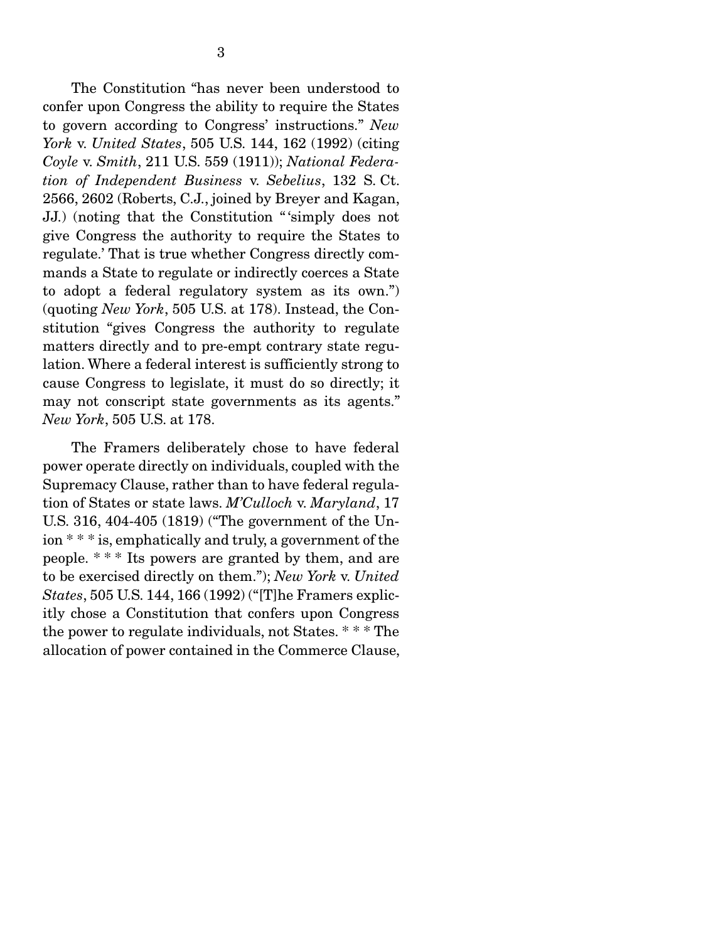The Constitution "has never been understood to confer upon Congress the ability to require the States to govern according to Congress' instructions." *New York* v. *United States*, 505 U.S. 144, 162 (1992) (citing *Coyle* v. *Smith*, 211 U.S. 559 (1911)); *National Federation of Independent Business* v. *Sebelius*, 132 S. Ct. 2566, 2602 (Roberts, C.J., joined by Breyer and Kagan, JJ.) (noting that the Constitution " 'simply does not give Congress the authority to require the States to regulate.' That is true whether Congress directly commands a State to regulate or indirectly coerces a State to adopt a federal regulatory system as its own.") (quoting *New York*, 505 U.S. at 178). Instead, the Constitution "gives Congress the authority to regulate matters directly and to pre-empt contrary state regulation. Where a federal interest is sufficiently strong to cause Congress to legislate, it must do so directly; it may not conscript state governments as its agents." *New York*, 505 U.S. at 178.

 The Framers deliberately chose to have federal power operate directly on individuals, coupled with the Supremacy Clause, rather than to have federal regulation of States or state laws. *M'Culloch* v. *Maryland*, 17 U.S. 316, 404-405 (1819) ("The government of the Union \* \* \* is, emphatically and truly, a government of the people. \* \* \* Its powers are granted by them, and are to be exercised directly on them."); *New York* v. *United States*, 505 U.S. 144, 166 (1992) ("[T]he Framers explicitly chose a Constitution that confers upon Congress the power to regulate individuals, not States. \* \* \* The allocation of power contained in the Commerce Clause,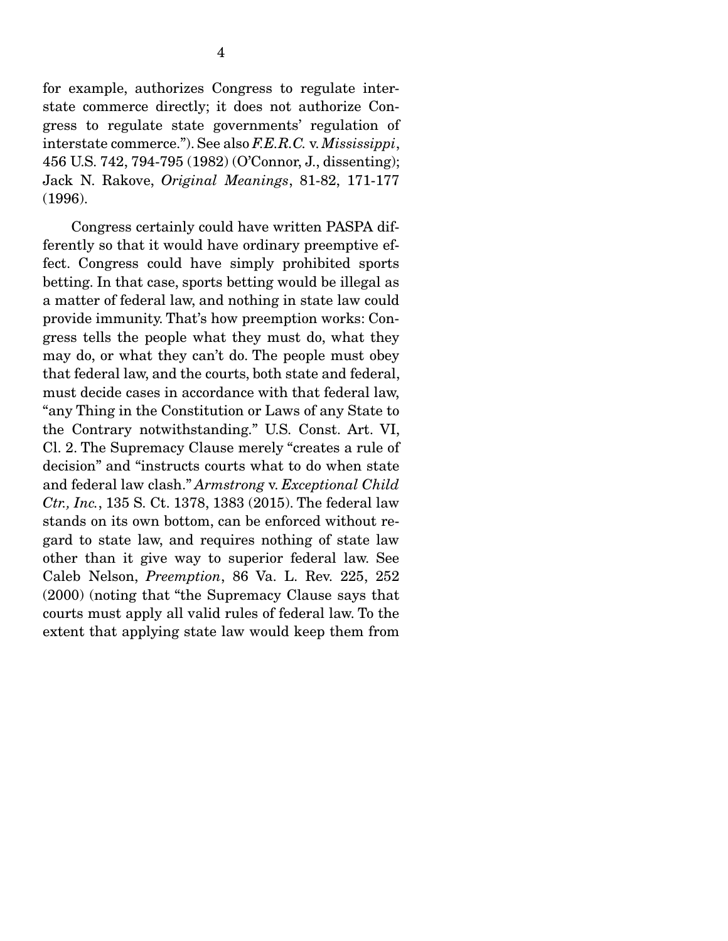for example, authorizes Congress to regulate interstate commerce directly; it does not authorize Congress to regulate state governments' regulation of interstate commerce."). See also *F.E.R.C.* v. *Mississippi*, 456 U.S. 742, 794-795 (1982) (O'Connor, J., dissenting); Jack N. Rakove, *Original Meanings*, 81-82, 171-177 (1996).

 Congress certainly could have written PASPA differently so that it would have ordinary preemptive effect. Congress could have simply prohibited sports betting. In that case, sports betting would be illegal as a matter of federal law, and nothing in state law could provide immunity. That's how preemption works: Congress tells the people what they must do, what they may do, or what they can't do. The people must obey that federal law, and the courts, both state and federal, must decide cases in accordance with that federal law, "any Thing in the Constitution or Laws of any State to the Contrary notwithstanding." U.S. Const. Art. VI, Cl. 2. The Supremacy Clause merely "creates a rule of decision" and "instructs courts what to do when state and federal law clash." *Armstrong* v. *Exceptional Child Ctr., Inc.*, 135 S. Ct. 1378, 1383 (2015). The federal law stands on its own bottom, can be enforced without regard to state law, and requires nothing of state law other than it give way to superior federal law. See Caleb Nelson, *Preemption*, 86 Va. L. Rev. 225, 252 (2000) (noting that "the Supremacy Clause says that courts must apply all valid rules of federal law. To the extent that applying state law would keep them from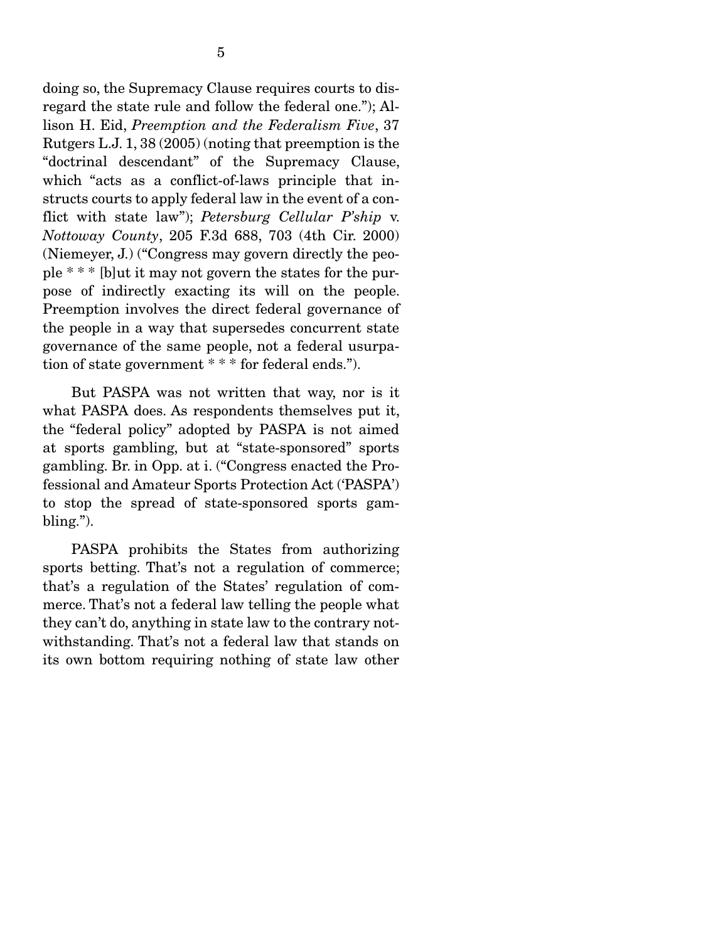doing so, the Supremacy Clause requires courts to disregard the state rule and follow the federal one."); Allison H. Eid, *Preemption and the Federalism Five*, 37 Rutgers L.J. 1, 38 (2005) (noting that preemption is the "doctrinal descendant" of the Supremacy Clause, which "acts as a conflict-of-laws principle that instructs courts to apply federal law in the event of a conflict with state law"); *Petersburg Cellular P'ship* v. *Nottoway County*, 205 F.3d 688, 703 (4th Cir. 2000) (Niemeyer, J.) ("Congress may govern directly the people \* \* \* [b]ut it may not govern the states for the purpose of indirectly exacting its will on the people. Preemption involves the direct federal governance of the people in a way that supersedes concurrent state governance of the same people, not a federal usurpation of state government \* \* \* for federal ends.").

 But PASPA was not written that way, nor is it what PASPA does. As respondents themselves put it, the "federal policy" adopted by PASPA is not aimed at sports gambling, but at "state-sponsored" sports gambling. Br. in Opp. at i. ("Congress enacted the Professional and Amateur Sports Protection Act ('PASPA') to stop the spread of state-sponsored sports gambling.").

 PASPA prohibits the States from authorizing sports betting. That's not a regulation of commerce; that's a regulation of the States' regulation of commerce. That's not a federal law telling the people what they can't do, anything in state law to the contrary notwithstanding. That's not a federal law that stands on its own bottom requiring nothing of state law other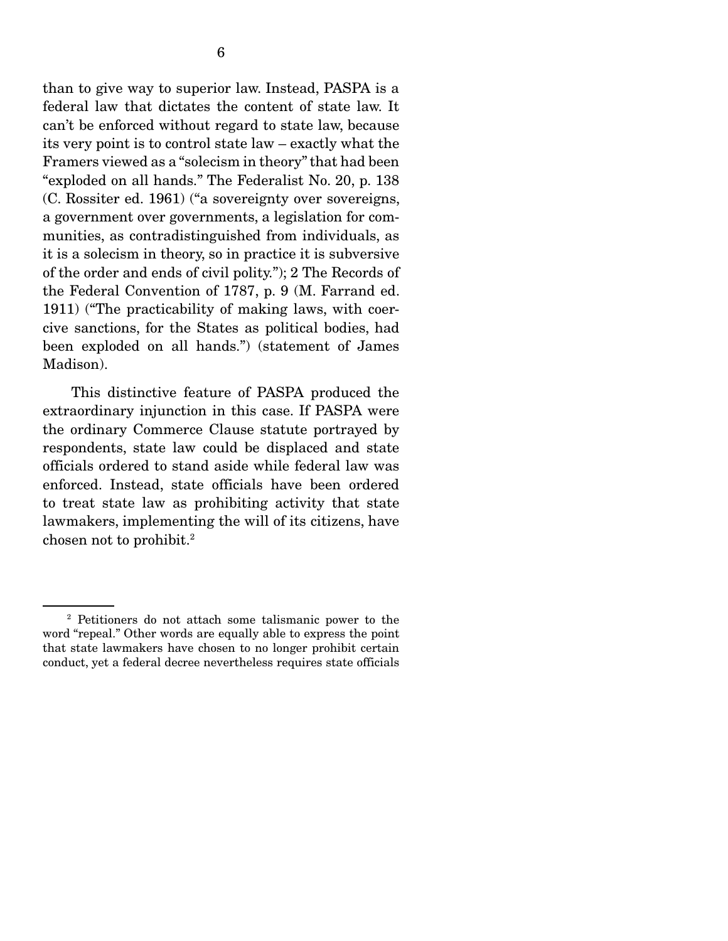than to give way to superior law. Instead, PASPA is a federal law that dictates the content of state law. It can't be enforced without regard to state law, because its very point is to control state law – exactly what the Framers viewed as a "solecism in theory" that had been "exploded on all hands." The Federalist No. 20, p. 138 (C. Rossiter ed. 1961) ("a sovereignty over sovereigns, a government over governments, a legislation for communities, as contradistinguished from individuals, as it is a solecism in theory, so in practice it is subversive of the order and ends of civil polity."); 2 The Records of the Federal Convention of 1787, p. 9 (M. Farrand ed. 1911) ("The practicability of making laws, with coercive sanctions, for the States as political bodies, had been exploded on all hands.") (statement of James Madison).

 This distinctive feature of PASPA produced the extraordinary injunction in this case. If PASPA were the ordinary Commerce Clause statute portrayed by respondents, state law could be displaced and state officials ordered to stand aside while federal law was enforced. Instead, state officials have been ordered to treat state law as prohibiting activity that state lawmakers, implementing the will of its citizens, have chosen not to prohibit.2

<sup>2</sup> Petitioners do not attach some talismanic power to the word "repeal." Other words are equally able to express the point that state lawmakers have chosen to no longer prohibit certain conduct, yet a federal decree nevertheless requires state officials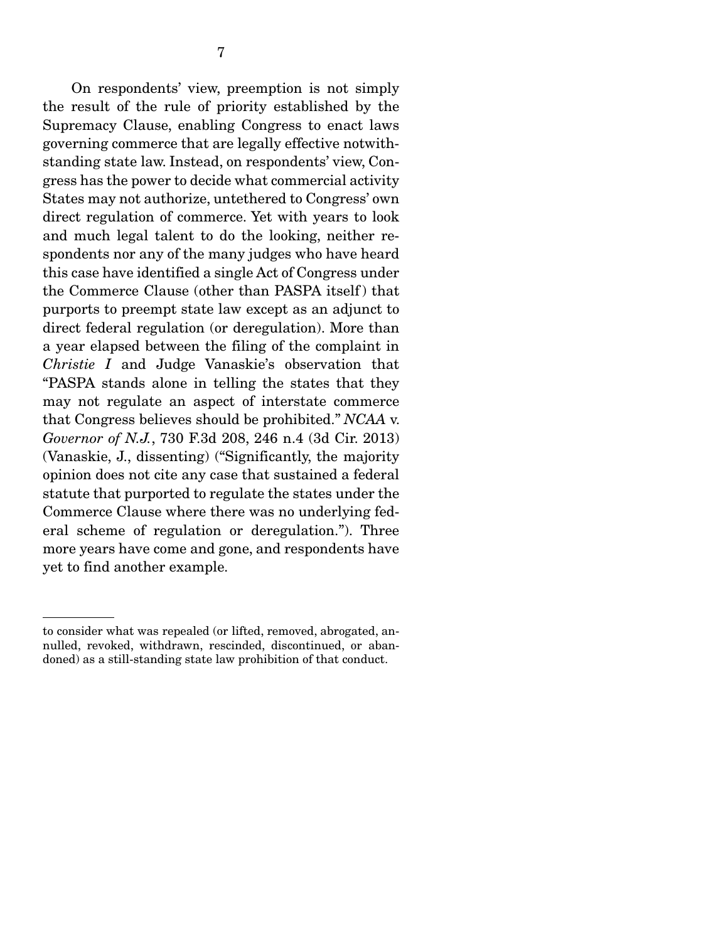On respondents' view, preemption is not simply the result of the rule of priority established by the Supremacy Clause, enabling Congress to enact laws governing commerce that are legally effective notwithstanding state law. Instead, on respondents' view, Congress has the power to decide what commercial activity States may not authorize, untethered to Congress' own direct regulation of commerce. Yet with years to look and much legal talent to do the looking, neither respondents nor any of the many judges who have heard this case have identified a single Act of Congress under the Commerce Clause (other than PASPA itself) that purports to preempt state law except as an adjunct to direct federal regulation (or deregulation). More than a year elapsed between the filing of the complaint in *Christie I* and Judge Vanaskie's observation that "PASPA stands alone in telling the states that they may not regulate an aspect of interstate commerce that Congress believes should be prohibited." *NCAA* v. *Governor of N.J.*, 730 F.3d 208, 246 n.4 (3d Cir. 2013) (Vanaskie, J., dissenting) ("Significantly, the majority opinion does not cite any case that sustained a federal statute that purported to regulate the states under the Commerce Clause where there was no underlying federal scheme of regulation or deregulation."). Three more years have come and gone, and respondents have yet to find another example.

to consider what was repealed (or lifted, removed, abrogated, annulled, revoked, withdrawn, rescinded, discontinued, or abandoned) as a still-standing state law prohibition of that conduct.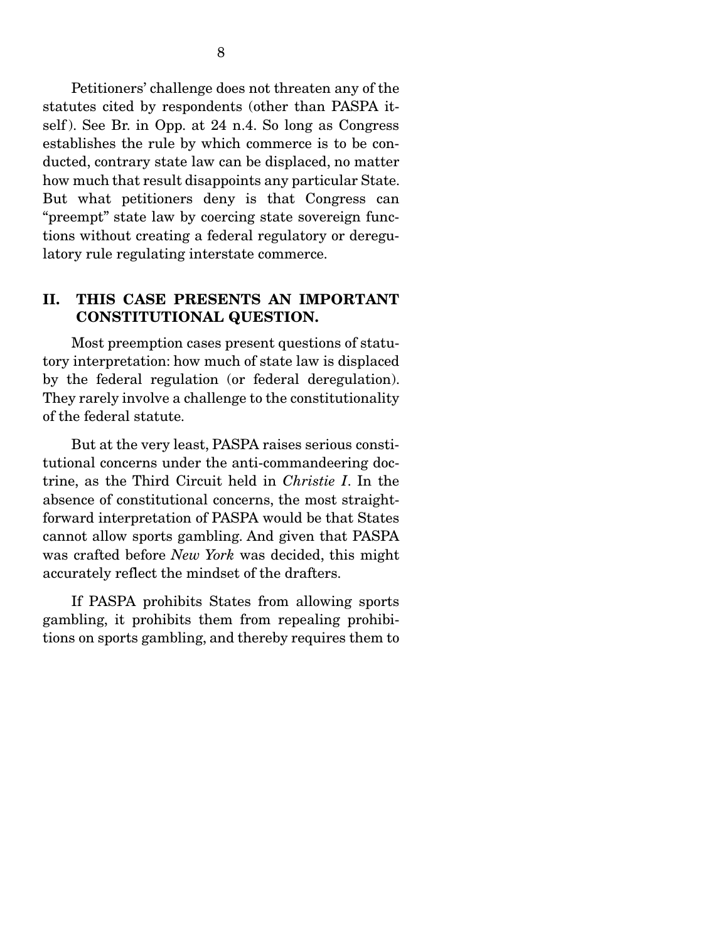Petitioners' challenge does not threaten any of the statutes cited by respondents (other than PASPA itself ). See Br. in Opp. at 24 n.4. So long as Congress establishes the rule by which commerce is to be conducted, contrary state law can be displaced, no matter how much that result disappoints any particular State. But what petitioners deny is that Congress can "preempt" state law by coercing state sovereign functions without creating a federal regulatory or deregulatory rule regulating interstate commerce.

### II. THIS CASE PRESENTS AN IMPORTANT CONSTITUTIONAL QUESTION.

 Most preemption cases present questions of statutory interpretation: how much of state law is displaced by the federal regulation (or federal deregulation). They rarely involve a challenge to the constitutionality of the federal statute.

 But at the very least, PASPA raises serious constitutional concerns under the anti-commandeering doctrine, as the Third Circuit held in *Christie I*. In the absence of constitutional concerns, the most straightforward interpretation of PASPA would be that States cannot allow sports gambling. And given that PASPA was crafted before *New York* was decided, this might accurately reflect the mindset of the drafters.

 If PASPA prohibits States from allowing sports gambling, it prohibits them from repealing prohibitions on sports gambling, and thereby requires them to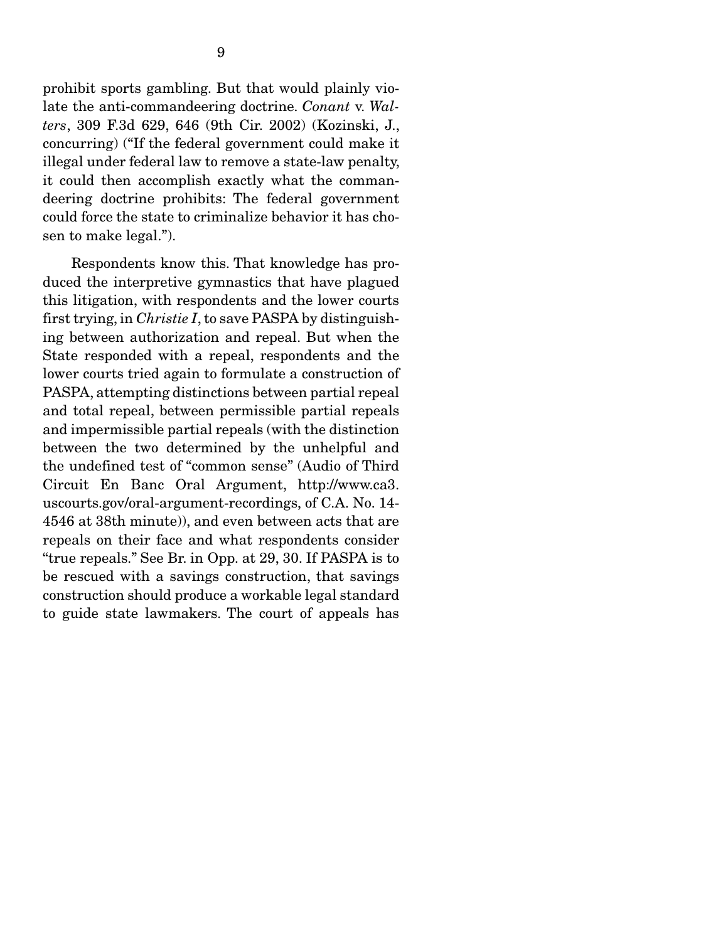prohibit sports gambling. But that would plainly violate the anti-commandeering doctrine. *Conant* v. *Walters*, 309 F.3d 629, 646 (9th Cir. 2002) (Kozinski, J., concurring) ("If the federal government could make it illegal under federal law to remove a state-law penalty, it could then accomplish exactly what the commandeering doctrine prohibits: The federal government could force the state to criminalize behavior it has chosen to make legal.").

 Respondents know this. That knowledge has produced the interpretive gymnastics that have plagued this litigation, with respondents and the lower courts first trying, in *Christie I*, to save PASPA by distinguishing between authorization and repeal. But when the State responded with a repeal, respondents and the lower courts tried again to formulate a construction of PASPA, attempting distinctions between partial repeal and total repeal, between permissible partial repeals and impermissible partial repeals (with the distinction between the two determined by the unhelpful and the undefined test of "common sense" (Audio of Third Circuit En Banc Oral Argument, http://www.ca3. uscourts.gov/oral-argument-recordings, of C.A. No. 14- 4546 at 38th minute)), and even between acts that are repeals on their face and what respondents consider "true repeals." See Br. in Opp. at 29, 30. If PASPA is to be rescued with a savings construction, that savings construction should produce a workable legal standard to guide state lawmakers. The court of appeals has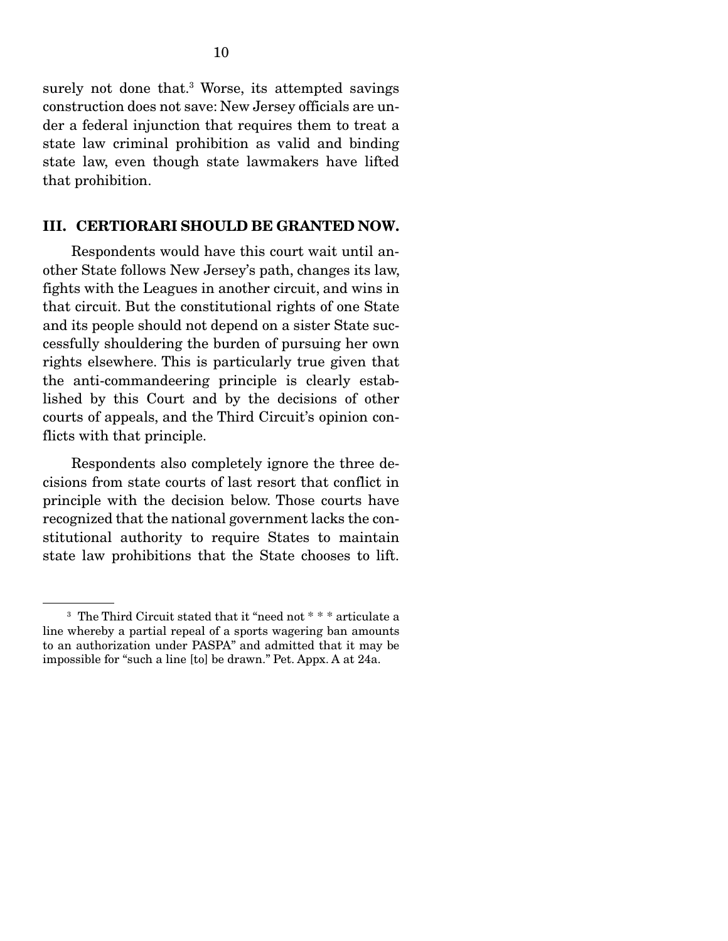surely not done that.<sup>3</sup> Worse, its attempted savings construction does not save: New Jersey officials are under a federal injunction that requires them to treat a state law criminal prohibition as valid and binding state law, even though state lawmakers have lifted that prohibition.

#### III. CERTIORARI SHOULD BE GRANTED NOW.

 Respondents would have this court wait until another State follows New Jersey's path, changes its law, fights with the Leagues in another circuit, and wins in that circuit. But the constitutional rights of one State and its people should not depend on a sister State successfully shouldering the burden of pursuing her own rights elsewhere. This is particularly true given that the anti-commandeering principle is clearly established by this Court and by the decisions of other courts of appeals, and the Third Circuit's opinion conflicts with that principle.

 Respondents also completely ignore the three decisions from state courts of last resort that conflict in principle with the decision below. Those courts have recognized that the national government lacks the constitutional authority to require States to maintain state law prohibitions that the State chooses to lift.

<sup>3</sup> The Third Circuit stated that it "need not \* \* \* articulate a line whereby a partial repeal of a sports wagering ban amounts to an authorization under PASPA" and admitted that it may be impossible for "such a line [to] be drawn." Pet. Appx. A at 24a.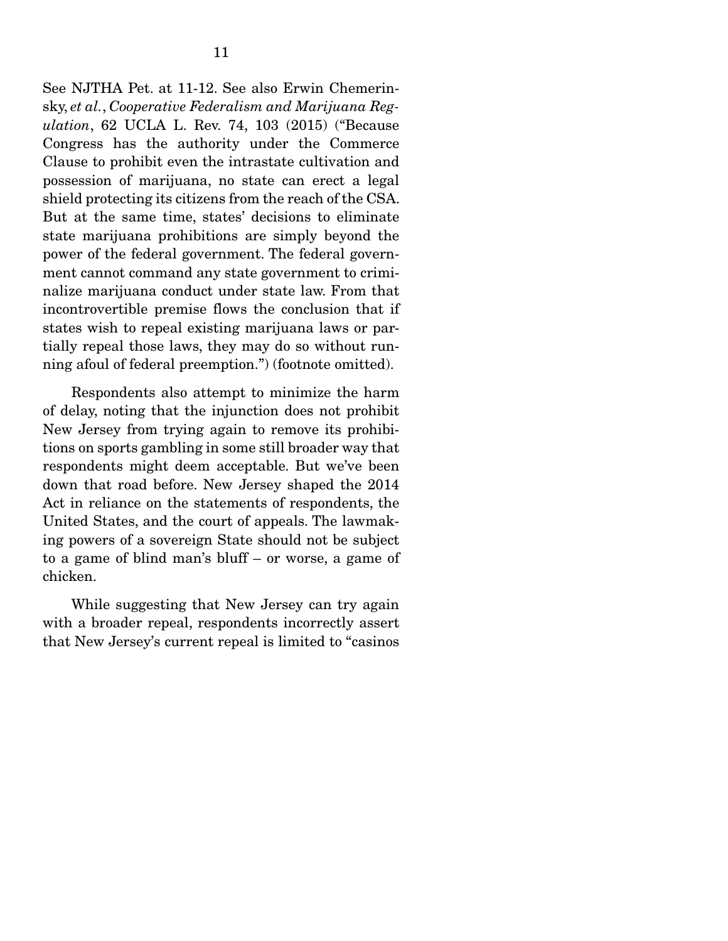See NJTHA Pet. at 11-12. See also Erwin Chemerinsky, *et al.*, *Cooperative Federalism and Marijuana Regulation*, 62 UCLA L. Rev. 74, 103 (2015) ("Because Congress has the authority under the Commerce Clause to prohibit even the intrastate cultivation and possession of marijuana, no state can erect a legal shield protecting its citizens from the reach of the CSA. But at the same time, states' decisions to eliminate state marijuana prohibitions are simply beyond the power of the federal government. The federal government cannot command any state government to criminalize marijuana conduct under state law. From that incontrovertible premise flows the conclusion that if states wish to repeal existing marijuana laws or partially repeal those laws, they may do so without running afoul of federal preemption.") (footnote omitted).

 Respondents also attempt to minimize the harm of delay, noting that the injunction does not prohibit New Jersey from trying again to remove its prohibitions on sports gambling in some still broader way that respondents might deem acceptable. But we've been down that road before. New Jersey shaped the 2014 Act in reliance on the statements of respondents, the United States, and the court of appeals. The lawmaking powers of a sovereign State should not be subject to a game of blind man's bluff – or worse, a game of chicken.

 While suggesting that New Jersey can try again with a broader repeal, respondents incorrectly assert that New Jersey's current repeal is limited to "casinos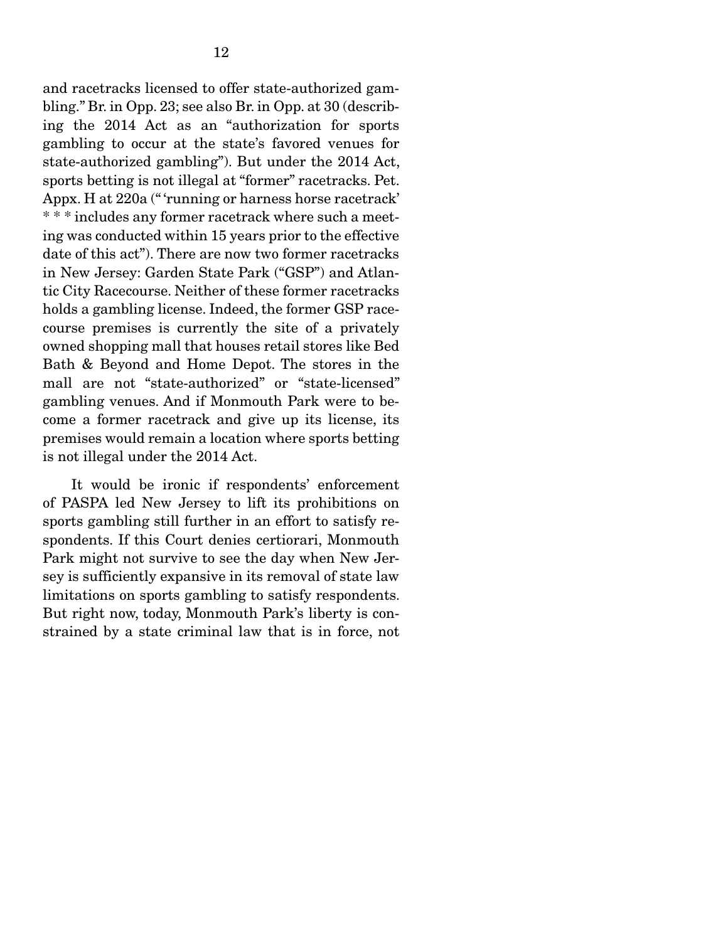and racetracks licensed to offer state-authorized gambling." Br. in Opp. 23; see also Br. in Opp. at 30 (describing the 2014 Act as an "authorization for sports gambling to occur at the state's favored venues for state-authorized gambling"). But under the 2014 Act, sports betting is not illegal at "former" racetracks. Pet. Appx. H at 220a (" 'running or harness horse racetrack' \* \* \* includes any former racetrack where such a meeting was conducted within 15 years prior to the effective date of this act"). There are now two former racetracks in New Jersey: Garden State Park ("GSP") and Atlantic City Racecourse. Neither of these former racetracks holds a gambling license. Indeed, the former GSP racecourse premises is currently the site of a privately owned shopping mall that houses retail stores like Bed Bath & Beyond and Home Depot. The stores in the mall are not "state-authorized" or "state-licensed" gambling venues. And if Monmouth Park were to become a former racetrack and give up its license, its premises would remain a location where sports betting is not illegal under the 2014 Act.

 It would be ironic if respondents' enforcement of PASPA led New Jersey to lift its prohibitions on sports gambling still further in an effort to satisfy respondents. If this Court denies certiorari, Monmouth Park might not survive to see the day when New Jersey is sufficiently expansive in its removal of state law limitations on sports gambling to satisfy respondents. But right now, today, Monmouth Park's liberty is constrained by a state criminal law that is in force, not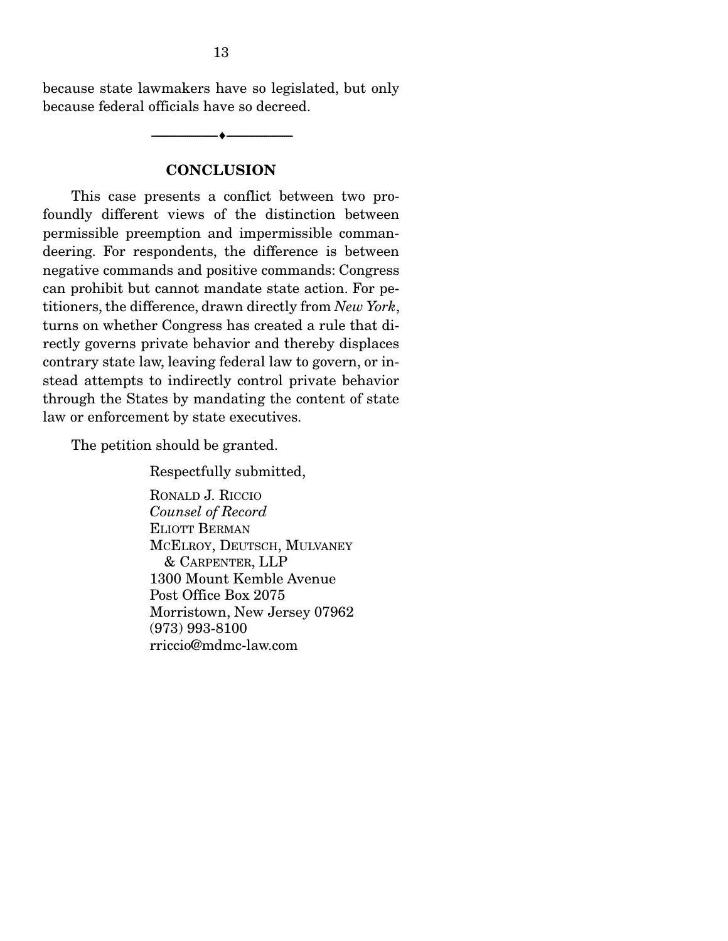because state lawmakers have so legislated, but only because federal officials have so decreed.

#### **CONCLUSION**

--------------------------------- ---------------------------------

 This case presents a conflict between two profoundly different views of the distinction between permissible preemption and impermissible commandeering. For respondents, the difference is between negative commands and positive commands: Congress can prohibit but cannot mandate state action. For petitioners, the difference, drawn directly from *New York*, turns on whether Congress has created a rule that directly governs private behavior and thereby displaces contrary state law, leaving federal law to govern, or instead attempts to indirectly control private behavior through the States by mandating the content of state law or enforcement by state executives.

The petition should be granted.

Respectfully submitted,

RONALD J. RICCIO *Counsel of Record*  ELIOTT BERMAN MCELROY, DEUTSCH, MULVANEY & CARPENTER, LLP 1300 Mount Kemble Avenue Post Office Box 2075 Morristown, New Jersey 07962 (973) 993-8100 rriccio@mdmc-law.com